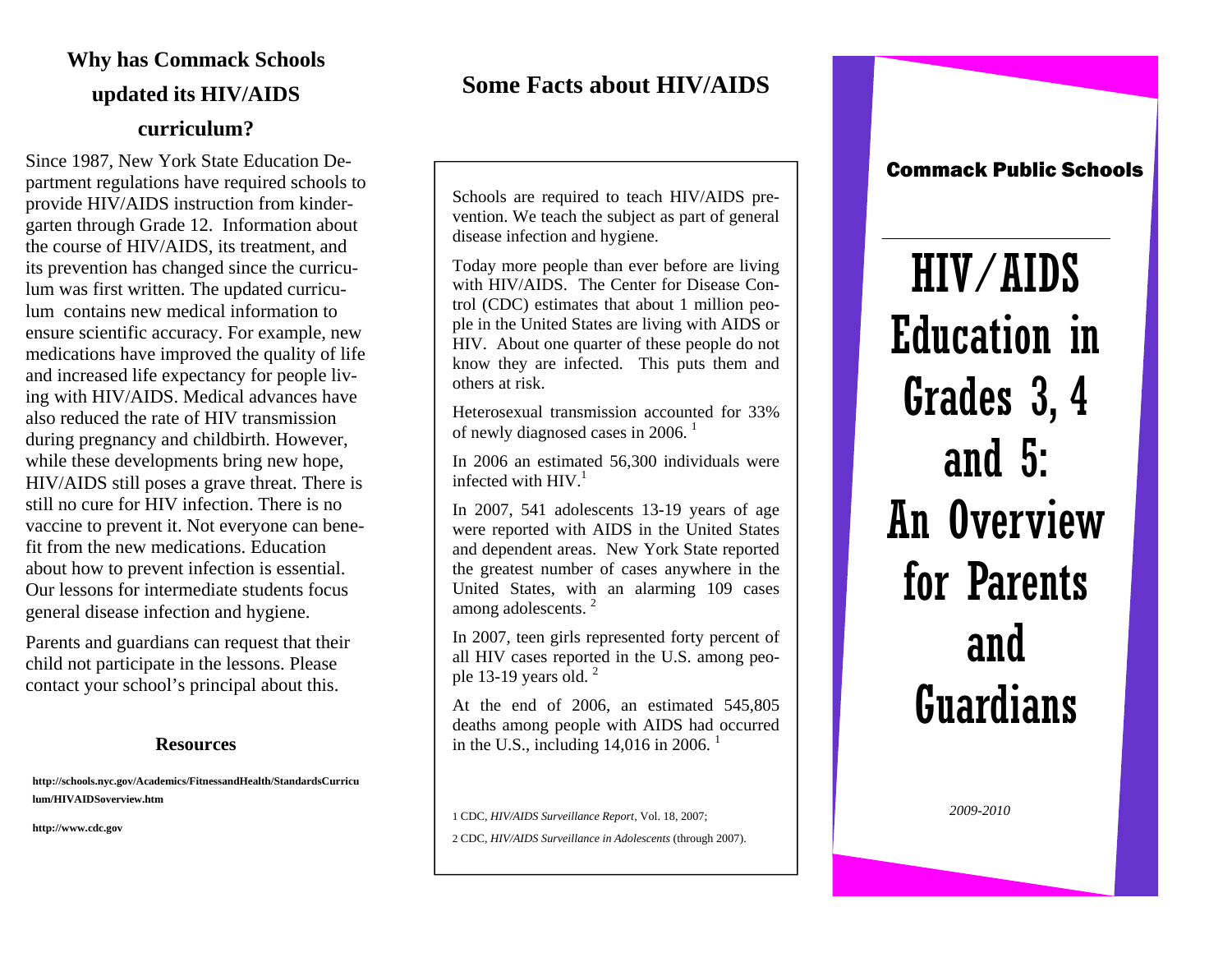# **Why has Commack Schools updated its HIV/AIDS curriculum?**

Since 1987, New York State Education Department regulations have required schools to provide HIV/AIDS instruction from kindergarten through Grade 12. Information about the course of HIV/AIDS, its treatment, and its prevention has changed since the curriculum was first written. The updated curriculum contains new medical information to ensure scientific accuracy. For example, new medications have improved the quality of life and increased life expectancy for people living with HIV/AIDS. Medical advances have also reduced the rate of HIV transmission during pregnancy and childbirth. However, while these developments bring new hope, HIV/AIDS still poses a grave threat. There is still no cure for HIV infection. There is no vaccine to prevent it. Not everyone can benefit from the new medications. Education about how to prevent infection is essential. Our lessons for intermediate students focus general disease infection and hygiene.

Parents and guardians can request that their child not participate in the lessons. Please contact your school's principal about this.

#### **Resources**

**http://schools.nyc.gov/Academics/FitnessandHealth/StandardsCurricu lum/HIVAIDSoverview.htm** 

**http://www.cdc.gov** 

#### **Some Facts about HIV/AIDS**

Schools are required to teach HIV/AIDS prevention. We teach the subject as part of general disease infection and hygiene.

Today more people than ever before are living with HIV/AIDS. The Center for Disease Control (CDC) estimates that about 1 million people in the United States are living with AIDS or HIV. About one quarter of these people do not know they are infected. This puts them and others at risk.

Heterosexual transmission accounted for 33% of newly diagnosed cases in 2006.<sup>1</sup>

In 2006 an estimated 56,300 individuals were infected with  $HIV<sup>1</sup>$ 

In 2007, 541 adolescents 13-19 years of age were reported with AIDS in the United States and dependent areas. New York State reported the greatest number of cases anywhere in the United States, with an alarming 109 cases among adolescents. <sup>2</sup>

In 2007, teen girls represented forty percent of all HIV cases reported in the U.S. among peo<sup>p</sup>le 13-19 years old. <sup>2</sup>

At the end of 2006, an estimated 545,805 deaths among people with AIDS had occurred in the U.S., including  $14,016$  in 2006.<sup>1</sup>

1 CDC, *HIV/AIDS Surveillance Report*, Vol. 18, 2007; 2 CDC, *HIV/AIDS Surveillance in Adolescents* (through 2007). Commack Public Schools

HIV/AIDS Education in Grades 3, 4 and 5: An Overview for Parents and Guardians

*2009-2010*